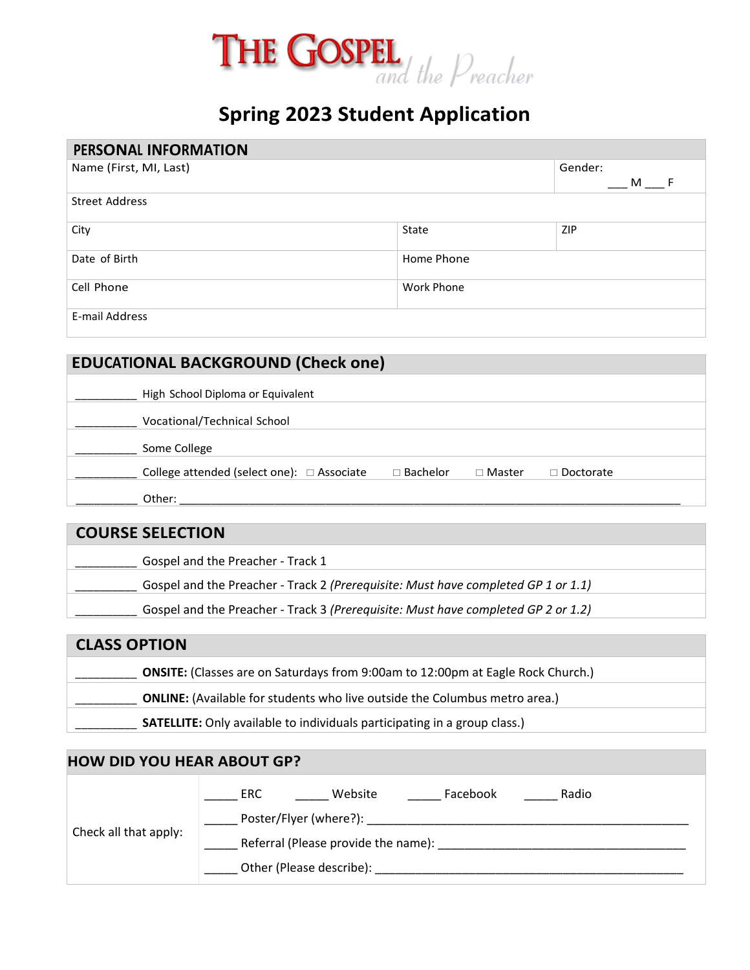

## **Spring 2023 Student Application**

| PERSONAL INFORMATION   |            |            |  |  |  |  |
|------------------------|------------|------------|--|--|--|--|
| Name (First, MI, Last) | Gender:    |            |  |  |  |  |
|                        | M F        |            |  |  |  |  |
| <b>Street Address</b>  |            |            |  |  |  |  |
| City                   | State      | <b>ZIP</b> |  |  |  |  |
| Date of Birth          | Home Phone |            |  |  |  |  |
| Cell Phone             | Work Phone |            |  |  |  |  |
| E-mail Address         |            |            |  |  |  |  |

### **EDUCATIONAL BACKGROUND (Check one)**

| High School Diploma or Equivalent          |                 |               |                  |
|--------------------------------------------|-----------------|---------------|------------------|
| Vocational/Technical School                |                 |               |                  |
| Some College                               |                 |               |                  |
| College attended (select one): □ Associate | $\Box$ Bachelor | $\Box$ Master | $\Box$ Doctorate |
| Other:                                     |                 |               |                  |

| <b>COURSE SELECTION</b>                                                           |
|-----------------------------------------------------------------------------------|
| Gospel and the Preacher - Track 1                                                 |
| Gospel and the Preacher - Track 2 (Prerequisite: Must have completed GP 1 or 1.1) |
| Gospel and the Preacher - Track 3 (Prerequisite: Must have completed GP 2 or 1.2) |

# **CLASS OPTION**  \_\_\_\_\_\_\_\_\_\_ **ONSITE:** (Classes are on Saturdays from 9:00am to 12:00pm at Eagle Rock Church.) **ONLINE:** (Available for students who live outside the Columbus metro area.) SATELLITE: Only available to individuals participating in a group class.)

| <b>HOW DID YOU HEAR ABOUT GP?</b> |                                                                                                        |  |  |  |  |  |  |
|-----------------------------------|--------------------------------------------------------------------------------------------------------|--|--|--|--|--|--|
| Check all that apply:             | Radio<br>Website<br>Facebook<br>ERC<br>Referral (Please provide the name):<br>Other (Please describe): |  |  |  |  |  |  |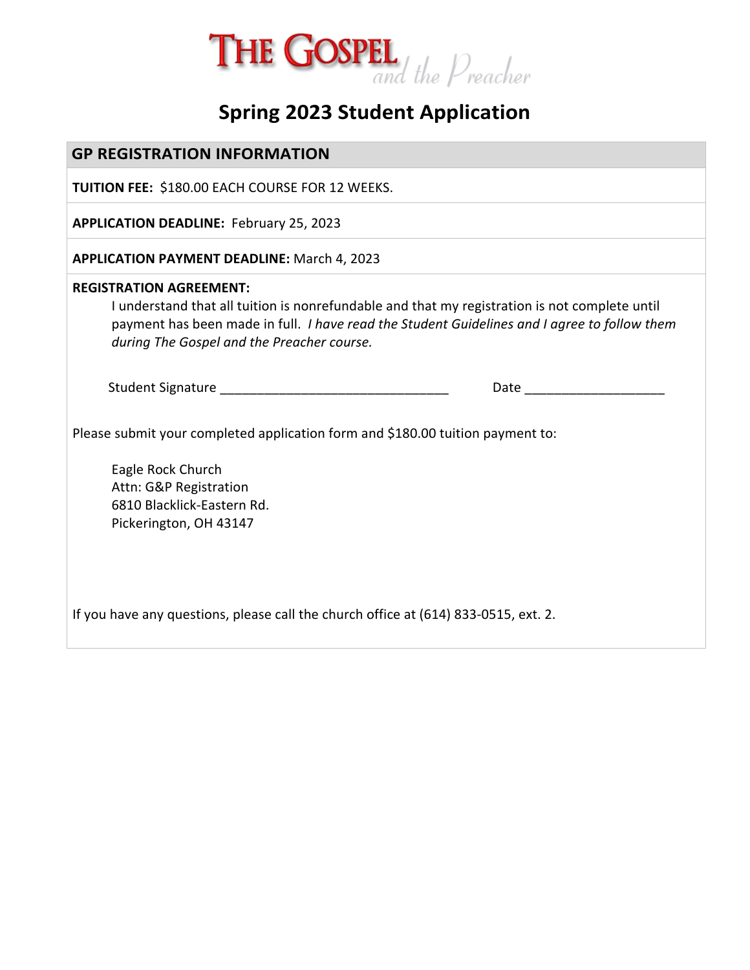

# **Spring 2023 Student Application**

| <b>GP REGISTRATION INFORMATION</b>                                                                                                                                                                                                                                                   |  |  |  |  |  |
|--------------------------------------------------------------------------------------------------------------------------------------------------------------------------------------------------------------------------------------------------------------------------------------|--|--|--|--|--|
| <b>TUITION FEE: \$180.00 EACH COURSE FOR 12 WEEKS.</b>                                                                                                                                                                                                                               |  |  |  |  |  |
| <b>APPLICATION DEADLINE: February 25, 2023</b>                                                                                                                                                                                                                                       |  |  |  |  |  |
| <b>APPLICATION PAYMENT DEADLINE: March 4, 2023</b>                                                                                                                                                                                                                                   |  |  |  |  |  |
| <b>REGISTRATION AGREEMENT:</b><br>I understand that all tuition is nonrefundable and that my registration is not complete until<br>payment has been made in full. <i>I have read the Student Guidelines and I agree to follow them</i><br>during The Gospel and the Preacher course. |  |  |  |  |  |
|                                                                                                                                                                                                                                                                                      |  |  |  |  |  |
| Please submit your completed application form and \$180.00 tuition payment to:                                                                                                                                                                                                       |  |  |  |  |  |
| Eagle Rock Church<br>Attn: G&P Registration<br>6810 Blacklick-Eastern Rd.<br>Pickerington, OH 43147                                                                                                                                                                                  |  |  |  |  |  |
| If you have any questions, please call the church office at (614) 833-0515, ext. 2.                                                                                                                                                                                                  |  |  |  |  |  |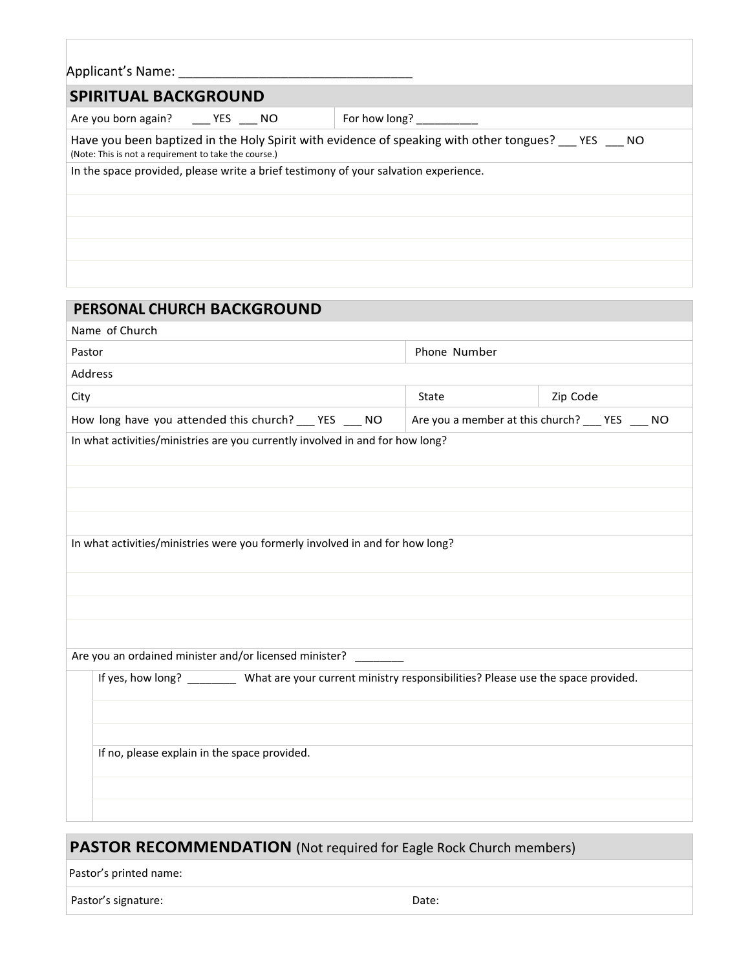| Applicant's Name:                                                                   |  |  |                                                                                                      |  |  |  |  |
|-------------------------------------------------------------------------------------|--|--|------------------------------------------------------------------------------------------------------|--|--|--|--|
| <b>SPIRITUAL BACKGROUND</b>                                                         |  |  |                                                                                                      |  |  |  |  |
| Are you born again? ______ YES _____ NO                                             |  |  | For how long?                                                                                        |  |  |  |  |
| (Note: This is not a requirement to take the course.)                               |  |  | Have you been baptized in the Holy Spirit with evidence of speaking with other tongues? __ YES __ NO |  |  |  |  |
| In the space provided, please write a brief testimony of your salvation experience. |  |  |                                                                                                      |  |  |  |  |
|                                                                                     |  |  |                                                                                                      |  |  |  |  |
|                                                                                     |  |  |                                                                                                      |  |  |  |  |
|                                                                                     |  |  |                                                                                                      |  |  |  |  |
|                                                                                     |  |  |                                                                                                      |  |  |  |  |

| PERSONAL CHURCH BACKGROUND                                                                                   |                                                 |          |  |  |  |  |  |  |  |
|--------------------------------------------------------------------------------------------------------------|-------------------------------------------------|----------|--|--|--|--|--|--|--|
| Name of Church                                                                                               |                                                 |          |  |  |  |  |  |  |  |
| Pastor                                                                                                       | Phone Number                                    |          |  |  |  |  |  |  |  |
| Address                                                                                                      |                                                 |          |  |  |  |  |  |  |  |
| City                                                                                                         | State                                           | Zip Code |  |  |  |  |  |  |  |
| How long have you attended this church? ___ YES ___ NO                                                       | Are you a member at this church? ___ YES ___ NO |          |  |  |  |  |  |  |  |
| In what activities/ministries are you currently involved in and for how long?                                |                                                 |          |  |  |  |  |  |  |  |
|                                                                                                              |                                                 |          |  |  |  |  |  |  |  |
|                                                                                                              |                                                 |          |  |  |  |  |  |  |  |
|                                                                                                              |                                                 |          |  |  |  |  |  |  |  |
|                                                                                                              |                                                 |          |  |  |  |  |  |  |  |
| In what activities/ministries were you formerly involved in and for how long?                                |                                                 |          |  |  |  |  |  |  |  |
|                                                                                                              |                                                 |          |  |  |  |  |  |  |  |
|                                                                                                              |                                                 |          |  |  |  |  |  |  |  |
|                                                                                                              |                                                 |          |  |  |  |  |  |  |  |
|                                                                                                              |                                                 |          |  |  |  |  |  |  |  |
| Are you an ordained minister and/or licensed minister?                                                       |                                                 |          |  |  |  |  |  |  |  |
| If yes, how long? __________ What are your current ministry responsibilities? Please use the space provided. |                                                 |          |  |  |  |  |  |  |  |
|                                                                                                              |                                                 |          |  |  |  |  |  |  |  |
|                                                                                                              |                                                 |          |  |  |  |  |  |  |  |
| If no, please explain in the space provided.                                                                 |                                                 |          |  |  |  |  |  |  |  |
|                                                                                                              |                                                 |          |  |  |  |  |  |  |  |
|                                                                                                              |                                                 |          |  |  |  |  |  |  |  |
|                                                                                                              |                                                 |          |  |  |  |  |  |  |  |

### **PASTOR RECOMMENDATION** (Not required for Eagle Rock Church members)

Pastor's printed name:

Pastor's signature: Date: